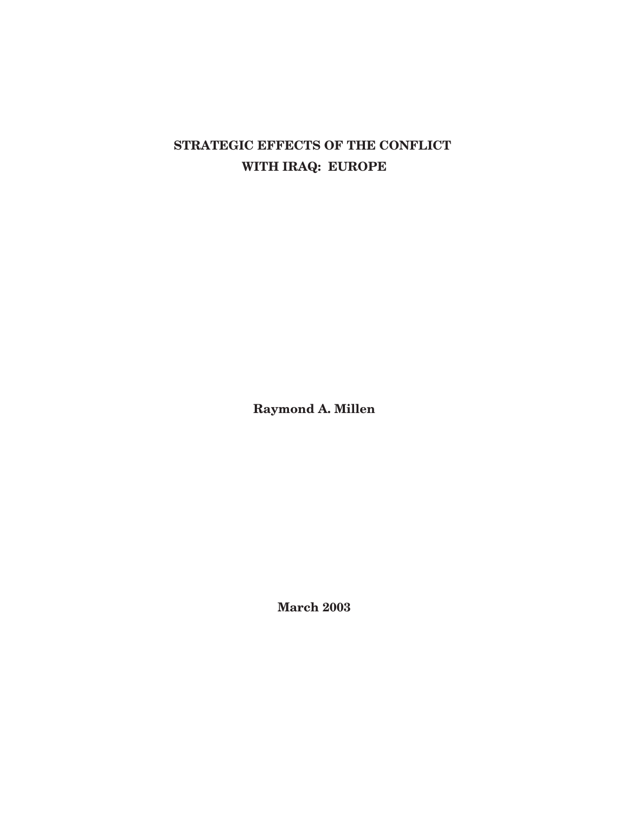# **STRATEGIC EFFECTS OF THE CONFLICT WITH IRAQ: EUROPE**

**Raymond A. Millen**

**March 2003**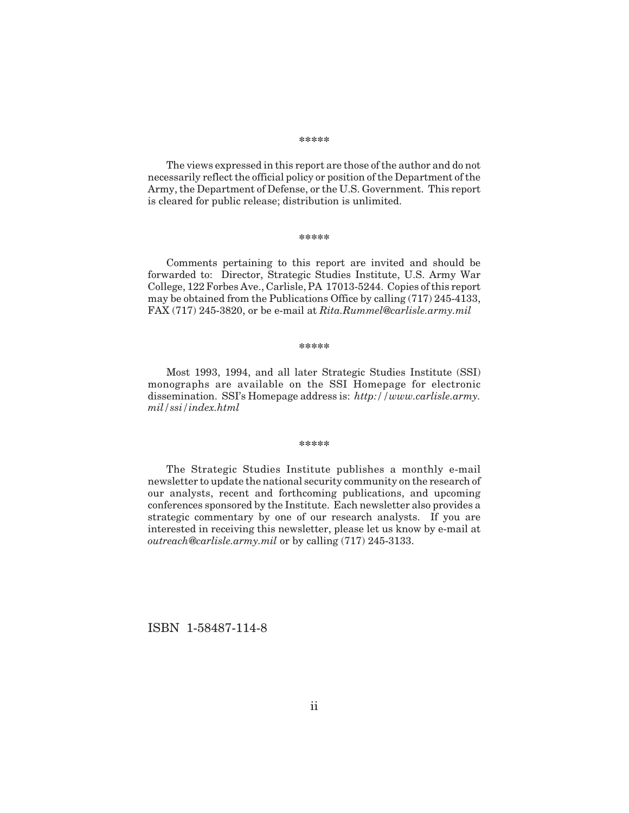#### **\*\*\*\*\***

The views expressed in this report are those of the author and do not necessarily reflect the official policy or position of the Department of the Army, the Department of Defense, or the U.S. Government. This report is cleared for public release; distribution is unlimited.

#### **\*\*\*\*\***

Comments pertaining to this report are invited and should be forwarded to: Director, Strategic Studies Institute, U.S. Army War College, 122 Forbes Ave., Carlisle, PA 17013-5244. Copies of this report may be obtained from the Publications Office by calling (717) 245-4133, FAX (717) 245-3820, or be e-mail at *Rita.Rummel@carlisle.army.mil*

#### **\*\*\*\*\***

Most 1993, 1994, and all later Strategic Studies Institute (SSI) monographs are available on the SSI Homepage for electronic dissemination. SSI's Homepage address is: *http://www.carlisle.army. mil/ssi/index.html*

#### **\*\*\*\*\***

The Strategic Studies Institute publishes a monthly e-mail newsletter to update the national security community on the research of our analysts, recent and forthcoming publications, and upcoming conferences sponsored by the Institute. Each newsletter also provides a strategic commentary by one of our research analysts. If you are interested in receiving this newsletter, please let us know by e-mail at *outreach@carlisle.army.mil* or by calling (717) 245-3133.

ISBN 1-58487-114-8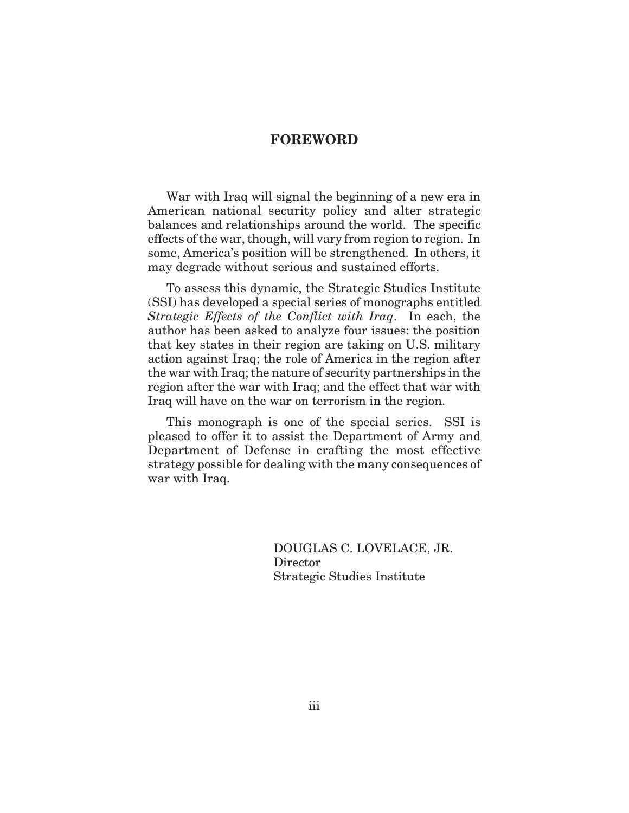### **FOREWORD**

War with Iraq will signal the beginning of a new era in American national security policy and alter strategic balances and relationships around the world. The specific effects of the war, though, will vary from region to region. In some, America's position will be strengthened. In others, it may degrade without serious and sustained efforts.

To assess this dynamic, the Strategic Studies Institute (SSI) has developed a special series of monographs entitled *Strategic Effects of the Conflict with Iraq*. In each, the author has been asked to analyze four issues: the position that key states in their region are taking on U.S. military action against Iraq; the role of America in the region after the war with Iraq; the nature of security partnerships in the region after the war with Iraq; and the effect that war with Iraq will have on the war on terrorism in the region.

This monograph is one of the special series. SSI is pleased to offer it to assist the Department of Army and Department of Defense in crafting the most effective strategy possible for dealing with the many consequences of war with Iraq.

> DOUGLAS C. LOVELACE, JR. Director Strategic Studies Institute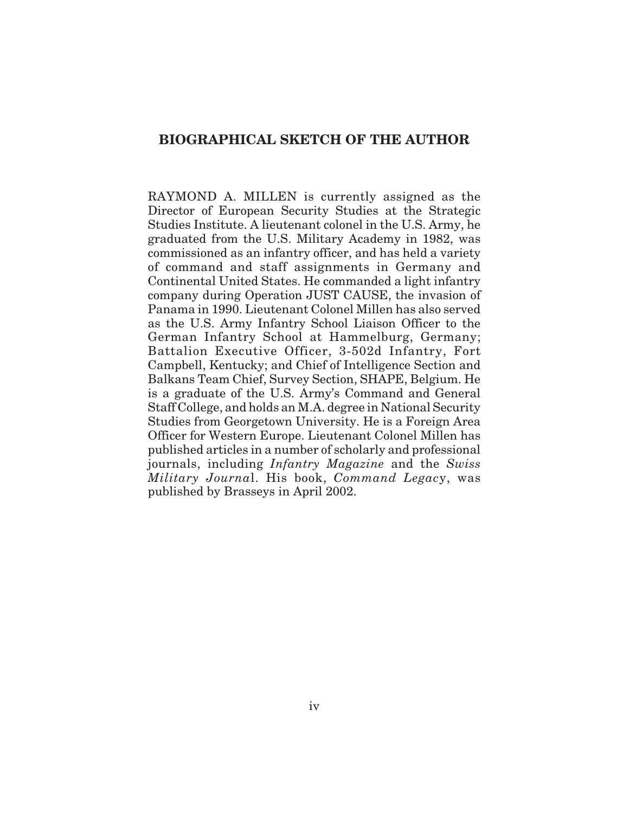### **BIOGRAPHICAL SKETCH OF THE AUTHOR**

RAYMOND A. MILLEN is currently assigned as the Director of European Security Studies at the Strategic Studies Institute. A lieutenant colonel in the U.S. Army, he graduated from the U.S. Military Academy in 1982, was commissioned as an infantry officer, and has held a variety of command and staff assignments in Germany and Continental United States. He commanded a light infantry company during Operation JUST CAUSE, the invasion of Panama in 1990. Lieutenant Colonel Millen has also served as the U.S. Army Infantry School Liaison Officer to the German Infantry School at Hammelburg, Germany; Battalion Executive Officer, 3-502d Infantry, Fort Campbell, Kentucky; and Chief of Intelligence Section and Balkans Team Chief, Survey Section, SHAPE, Belgium. He is a graduate of the U.S. Army's Command and General Staff College, and holds an M.A. degree in National Security Studies from Georgetown University. He is a Foreign Area Officer for Western Europe. Lieutenant Colonel Millen has published articles in a number of scholarly and professional journals, including *Infantry Magazine* and the *Swiss Military Journa*l. His book, *Command Legac*y, was published by Brasseys in April 2002.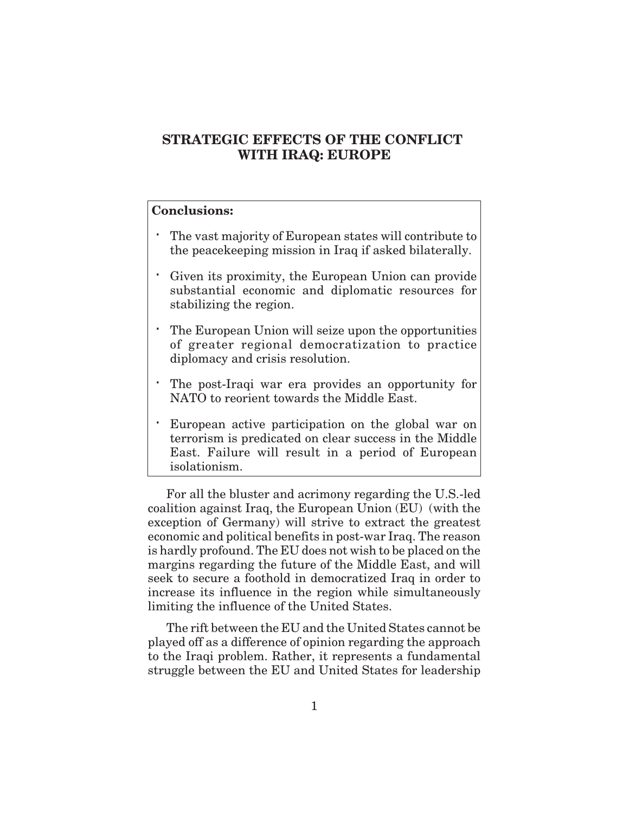# **STRATEGIC EFFECTS OF THE CONFLICT WITH IRAQ: EUROPE**

### **Conclusions:**

The vast majority of European states will contribute to the peacekeeping mission in Iraq if asked bilaterally.

Given its proximity, the European Union can provide substantial economic and diplomatic resources for stabilizing the region.

The European Union will seize upon the opportunities of greater regional democratization to practice diplomacy and crisis resolution.

The post-Iraqi war era provides an opportunity for NATO to reorient towards the Middle East.

European active participation on the global war on terrorism is predicated on clear success in the Middle East. Failure will result in a period of European isolationism.

For all the bluster and acrimony regarding the U.S.-led coalition against Iraq, the European Union (EU) (with the exception of Germany) will strive to extract the greatest economic and political benefits in post-war Iraq. The reason is hardly profound. The EU does not wish to be placed on the margins regarding the future of the Middle East, and will seek to secure a foothold in democratized Iraq in order to increase its influence in the region while simultaneously limiting the influence of the United States.

The rift between the EU and the United States cannot be played off as a difference of opinion regarding the approach to the Iraqi problem. Rather, it represents a fundamental struggle between the EU and United States for leadership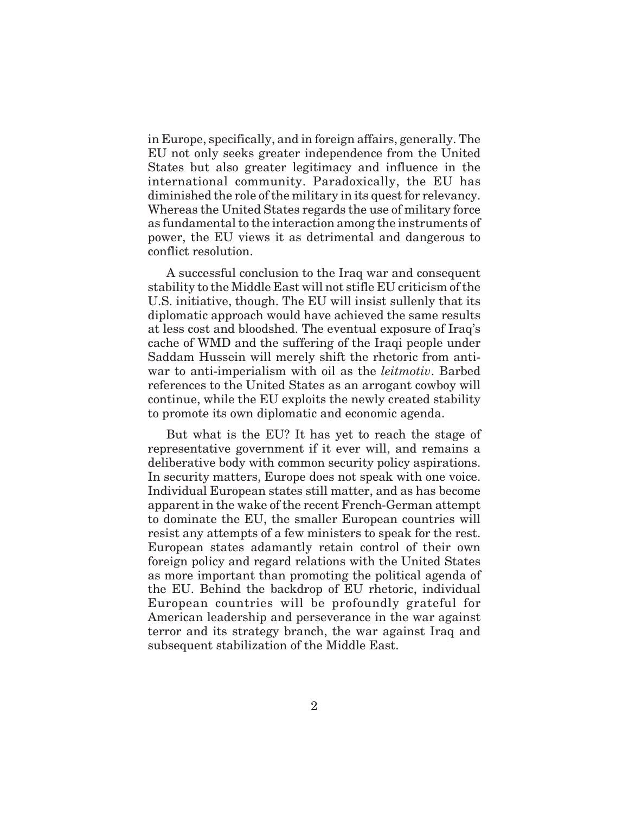in Europe, specifically, and in foreign affairs, generally. The EU not only seeks greater independence from the United States but also greater legitimacy and influence in the international community. Paradoxically, the EU has diminished the role of the military in its quest for relevancy. Whereas the United States regards the use of military force as fundamental to the interaction among the instruments of power, the EU views it as detrimental and dangerous to conflict resolution.

A successful conclusion to the Iraq war and consequent stability to the Middle East will not stifle EU criticism of the U.S. initiative, though. The EU will insist sullenly that its diplomatic approach would have achieved the same results at less cost and bloodshed. The eventual exposure of Iraq's cache of WMD and the suffering of the Iraqi people under Saddam Hussein will merely shift the rhetoric from antiwar to anti-imperialism with oil as the *leitmotiv*. Barbed references to the United States as an arrogant cowboy will continue, while the EU exploits the newly created stability to promote its own diplomatic and economic agenda.

But what is the EU? It has yet to reach the stage of representative government if it ever will, and remains a deliberative body with common security policy aspirations. In security matters, Europe does not speak with one voice. Individual European states still matter, and as has become apparent in the wake of the recent French-German attempt to dominate the EU, the smaller European countries will resist any attempts of a few ministers to speak for the rest. European states adamantly retain control of their own foreign policy and regard relations with the United States as more important than promoting the political agenda of the EU. Behind the backdrop of EU rhetoric, individual European countries will be profoundly grateful for American leadership and perseverance in the war against terror and its strategy branch, the war against Iraq and subsequent stabilization of the Middle East.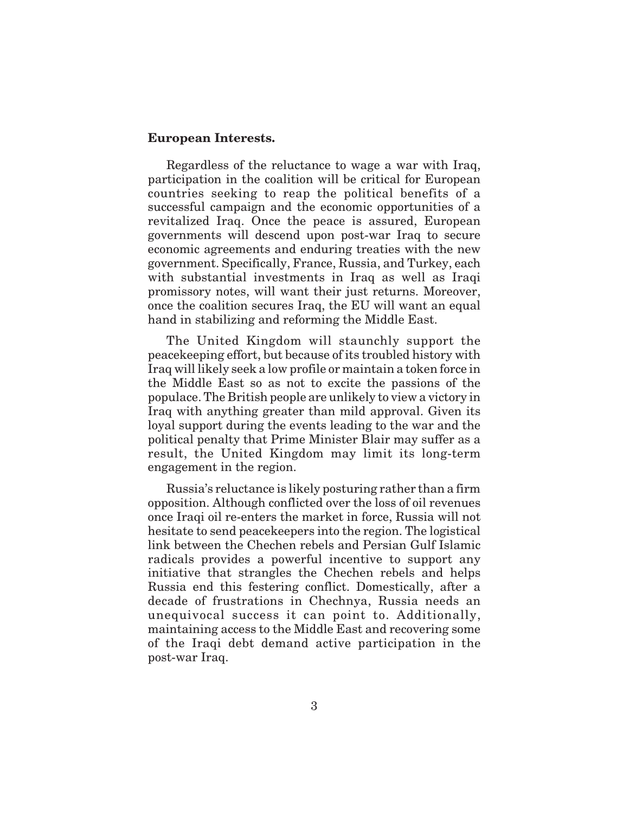#### **European Interests.**

Regardless of the reluctance to wage a war with Iraq, participation in the coalition will be critical for European countries seeking to reap the political benefits of a successful campaign and the economic opportunities of a revitalized Iraq. Once the peace is assured, European governments will descend upon post-war Iraq to secure economic agreements and enduring treaties with the new government. Specifically, France, Russia, and Turkey, each with substantial investments in Iraq as well as Iraqi promissory notes, will want their just returns. Moreover, once the coalition secures Iraq, the EU will want an equal hand in stabilizing and reforming the Middle East.

The United Kingdom will staunchly support the peacekeeping effort, but because of its troubled history with Iraq will likely seek a low profile or maintain a token force in the Middle East so as not to excite the passions of the populace. The British people are unlikely to view a victory in Iraq with anything greater than mild approval. Given its loyal support during the events leading to the war and the political penalty that Prime Minister Blair may suffer as a result, the United Kingdom may limit its long-term engagement in the region.

Russia's reluctance is likely posturing rather than a firm opposition. Although conflicted over the loss of oil revenues once Iraqi oil re-enters the market in force, Russia will not hesitate to send peacekeepers into the region. The logistical link between the Chechen rebels and Persian Gulf Islamic radicals provides a powerful incentive to support any initiative that strangles the Chechen rebels and helps Russia end this festering conflict. Domestically, after a decade of frustrations in Chechnya, Russia needs an unequivocal success it can point to. Additionally, maintaining access to the Middle East and recovering some of the Iraqi debt demand active participation in the post-war Iraq.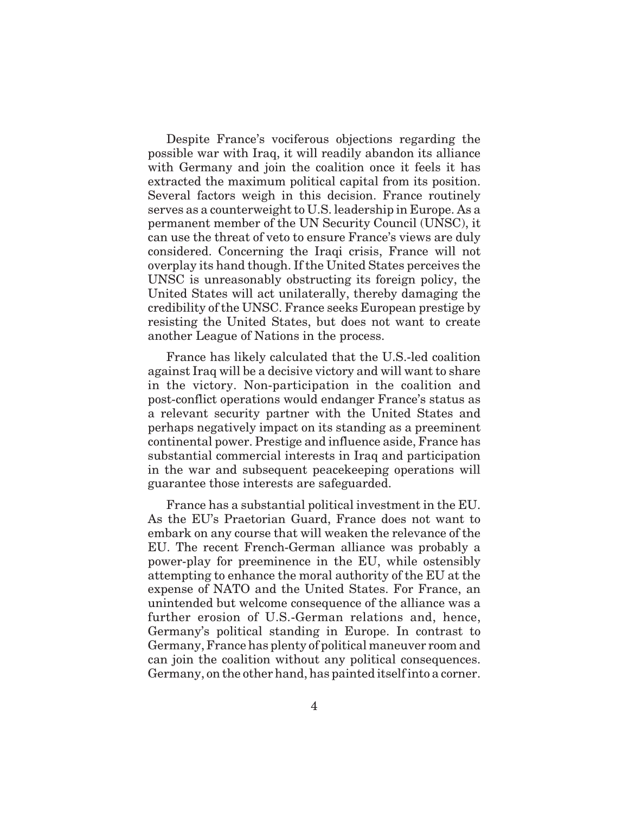Despite France's vociferous objections regarding the possible war with Iraq, it will readily abandon its alliance with Germany and join the coalition once it feels it has extracted the maximum political capital from its position. Several factors weigh in this decision. France routinely serves as a counterweight to U.S. leadership in Europe. As a permanent member of the UN Security Council (UNSC), it can use the threat of veto to ensure France's views are duly considered. Concerning the Iraqi crisis, France will not overplay its hand though. If the United States perceives the UNSC is unreasonably obstructing its foreign policy, the United States will act unilaterally, thereby damaging the credibility of the UNSC. France seeks European prestige by resisting the United States, but does not want to create another League of Nations in the process.

France has likely calculated that the U.S.-led coalition against Iraq will be a decisive victory and will want to share in the victory. Non-participation in the coalition and post-conflict operations would endanger France's status as a relevant security partner with the United States and perhaps negatively impact on its standing as a preeminent continental power. Prestige and influence aside, France has substantial commercial interests in Iraq and participation in the war and subsequent peacekeeping operations will guarantee those interests are safeguarded.

France has a substantial political investment in the EU. As the EU's Praetorian Guard, France does not want to embark on any course that will weaken the relevance of the EU. The recent French-German alliance was probably a power-play for preeminence in the EU, while ostensibly attempting to enhance the moral authority of the EU at the expense of NATO and the United States. For France, an unintended but welcome consequence of the alliance was a further erosion of U.S.-German relations and, hence, Germany's political standing in Europe. In contrast to Germany, France has plenty of political maneuver room and can join the coalition without any political consequences. Germany, on the other hand, has painted itself into a corner.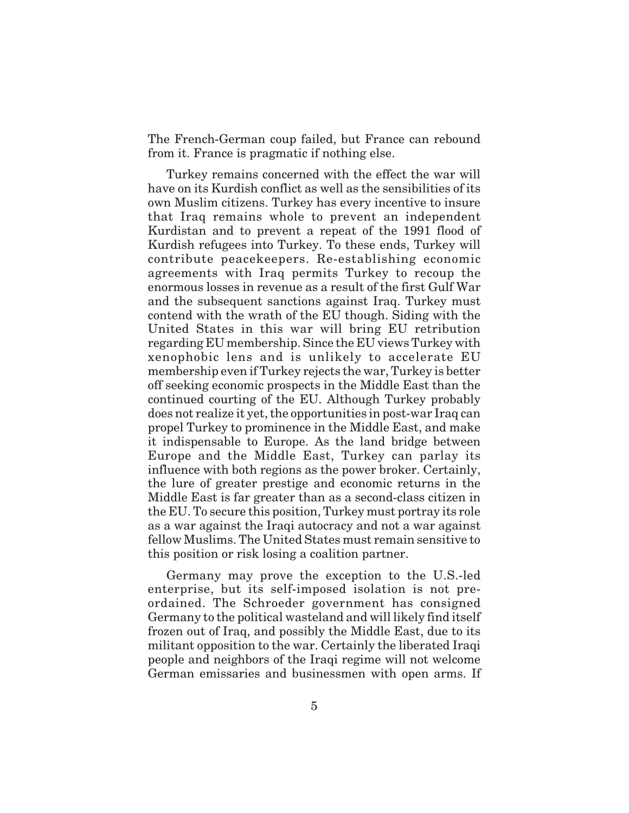The French-German coup failed, but France can rebound from it. France is pragmatic if nothing else.

Turkey remains concerned with the effect the war will have on its Kurdish conflict as well as the sensibilities of its own Muslim citizens. Turkey has every incentive to insure that Iraq remains whole to prevent an independent Kurdistan and to prevent a repeat of the 1991 flood of Kurdish refugees into Turkey. To these ends, Turkey will contribute peacekeepers. Re-establishing economic agreements with Iraq permits Turkey to recoup the enormous losses in revenue as a result of the first Gulf War and the subsequent sanctions against Iraq. Turkey must contend with the wrath of the EU though. Siding with the United States in this war will bring EU retribution regarding EU membership. Since the EU views Turkey with xenophobic lens and is unlikely to accelerate EU membership even if Turkey rejects the war, Turkey is better off seeking economic prospects in the Middle East than the continued courting of the EU. Although Turkey probably does not realize it yet, the opportunities in post-war Iraq can propel Turkey to prominence in the Middle East, and make it indispensable to Europe. As the land bridge between Europe and the Middle East, Turkey can parlay its influence with both regions as the power broker. Certainly, the lure of greater prestige and economic returns in the Middle East is far greater than as a second-class citizen in the EU. To secure this position, Turkey must portray its role as a war against the Iraqi autocracy and not a war against fellow Muslims. The United States must remain sensitive to this position or risk losing a coalition partner.

Germany may prove the exception to the U.S.-led enterprise, but its self-imposed isolation is not preordained. The Schroeder government has consigned Germany to the political wasteland and will likely find itself frozen out of Iraq, and possibly the Middle East, due to its militant opposition to the war. Certainly the liberated Iraqi people and neighbors of the Iraqi regime will not welcome German emissaries and businessmen with open arms. If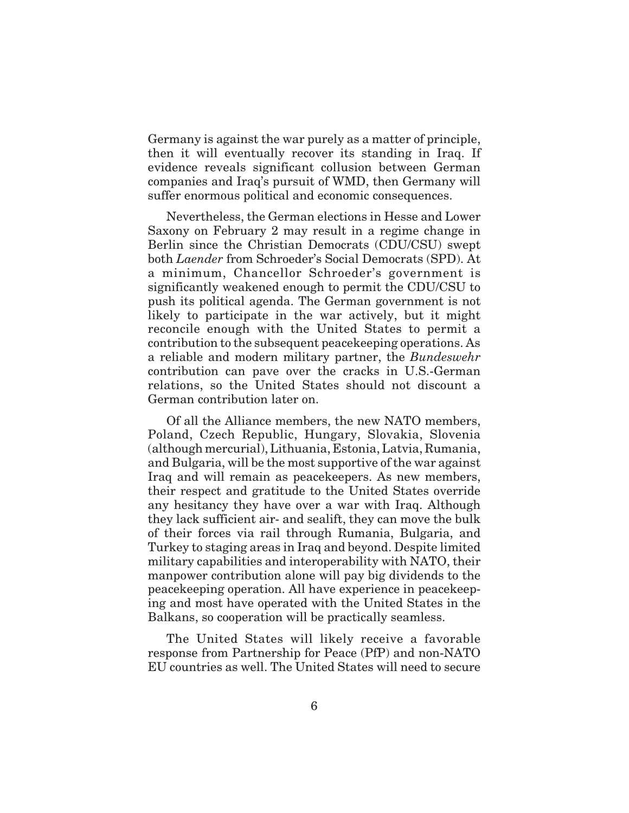Germany is against the war purely as a matter of principle, then it will eventually recover its standing in Iraq. If evidence reveals significant collusion between German companies and Iraq's pursuit of WMD, then Germany will suffer enormous political and economic consequences.

Nevertheless, the German elections in Hesse and Lower Saxony on February 2 may result in a regime change in Berlin since the Christian Democrats (CDU/CSU) swept both *Laender* from Schroeder's Social Democrats (SPD). At a minimum, Chancellor Schroeder's government is significantly weakened enough to permit the CDU/CSU to push its political agenda. The German government is not likely to participate in the war actively, but it might reconcile enough with the United States to permit a contribution to the subsequent peacekeeping operations. As a reliable and modern military partner, the *Bundeswehr* contribution can pave over the cracks in U.S.-German relations, so the United States should not discount a German contribution later on.

Of all the Alliance members, the new NATO members, Poland, Czech Republic, Hungary, Slovakia, Slovenia (although mercurial), Lithuania, Estonia, Latvia, Rumania, and Bulgaria, will be the most supportive of the war against Iraq and will remain as peacekeepers. As new members, their respect and gratitude to the United States override any hesitancy they have over a war with Iraq. Although they lack sufficient air- and sealift, they can move the bulk of their forces via rail through Rumania, Bulgaria, and Turkey to staging areas in Iraq and beyond. Despite limited military capabilities and interoperability with NATO, their manpower contribution alone will pay big dividends to the peacekeeping operation. All have experience in peacekeeping and most have operated with the United States in the Balkans, so cooperation will be practically seamless.

The United States will likely receive a favorable response from Partnership for Peace (PfP) and non-NATO EU countries as well. The United States will need to secure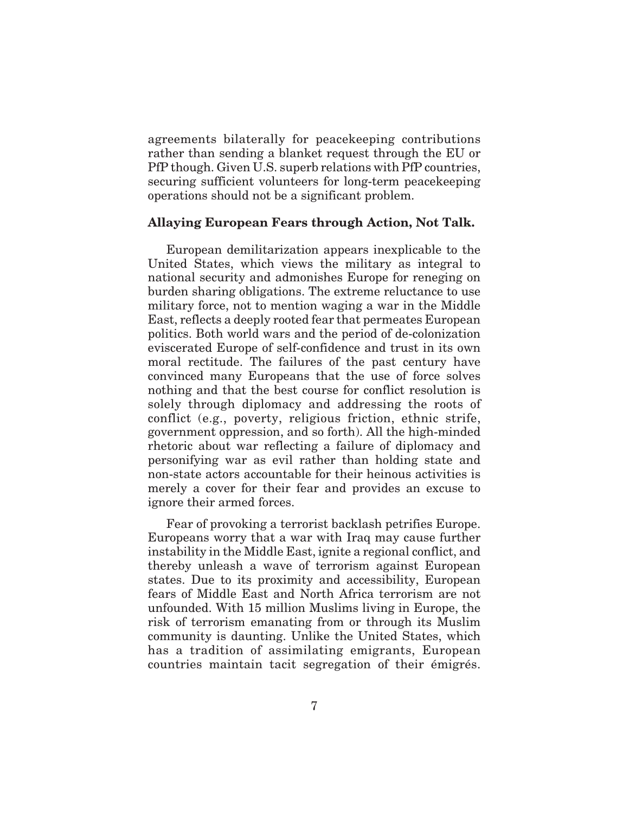agreements bilaterally for peacekeeping contributions rather than sending a blanket request through the EU or PfP though. Given U.S. superb relations with PfP countries, securing sufficient volunteers for long-term peacekeeping operations should not be a significant problem.

### **Allaying European Fears through Action, Not Talk.**

European demilitarization appears inexplicable to the United States, which views the military as integral to national security and admonishes Europe for reneging on burden sharing obligations. The extreme reluctance to use military force, not to mention waging a war in the Middle East, reflects a deeply rooted fear that permeates European politics. Both world wars and the period of de-colonization eviscerated Europe of self-confidence and trust in its own moral rectitude. The failures of the past century have convinced many Europeans that the use of force solves nothing and that the best course for conflict resolution is solely through diplomacy and addressing the roots of conflict (e.g., poverty, religious friction, ethnic strife, government oppression, and so forth). All the high-minded rhetoric about war reflecting a failure of diplomacy and personifying war as evil rather than holding state and non-state actors accountable for their heinous activities is merely a cover for their fear and provides an excuse to ignore their armed forces.

Fear of provoking a terrorist backlash petrifies Europe. Europeans worry that a war with Iraq may cause further instability in the Middle East, ignite a regional conflict, and thereby unleash a wave of terrorism against European states. Due to its proximity and accessibility, European fears of Middle East and North Africa terrorism are not unfounded. With 15 million Muslims living in Europe, the risk of terrorism emanating from or through its Muslim community is daunting. Unlike the United States, which has a tradition of assimilating emigrants, European countries maintain tacit segregation of their émigrés.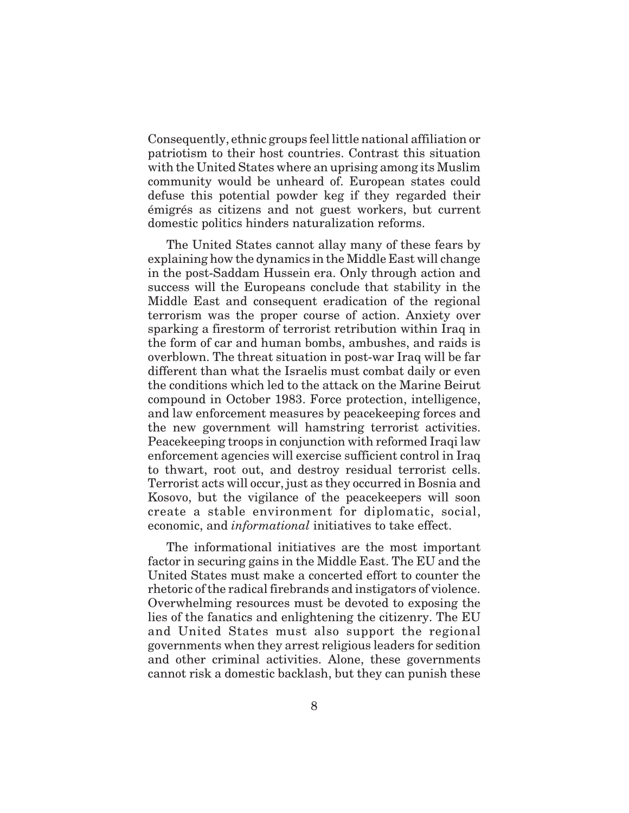Consequently, ethnic groups feel little national affiliation or patriotism to their host countries. Contrast this situation with the United States where an uprising among its Muslim community would be unheard of. European states could defuse this potential powder keg if they regarded their émigrés as citizens and not guest workers, but current domestic politics hinders naturalization reforms.

The United States cannot allay many of these fears by explaining how the dynamics in the Middle East will change in the post-Saddam Hussein era. Only through action and success will the Europeans conclude that stability in the Middle East and consequent eradication of the regional terrorism was the proper course of action. Anxiety over sparking a firestorm of terrorist retribution within Iraq in the form of car and human bombs, ambushes, and raids is overblown. The threat situation in post-war Iraq will be far different than what the Israelis must combat daily or even the conditions which led to the attack on the Marine Beirut compound in October 1983. Force protection, intelligence, and law enforcement measures by peacekeeping forces and the new government will hamstring terrorist activities. Peacekeeping troops in conjunction with reformed Iraqi law enforcement agencies will exercise sufficient control in Iraq to thwart, root out, and destroy residual terrorist cells. Terrorist acts will occur, just as they occurred in Bosnia and Kosovo, but the vigilance of the peacekeepers will soon create a stable environment for diplomatic, social, economic, and *informational* initiatives to take effect.

The informational initiatives are the most important factor in securing gains in the Middle East. The EU and the United States must make a concerted effort to counter the rhetoric of the radical firebrands and instigators of violence. Overwhelming resources must be devoted to exposing the lies of the fanatics and enlightening the citizenry. The EU and United States must also support the regional governments when they arrest religious leaders for sedition and other criminal activities. Alone, these governments cannot risk a domestic backlash, but they can punish these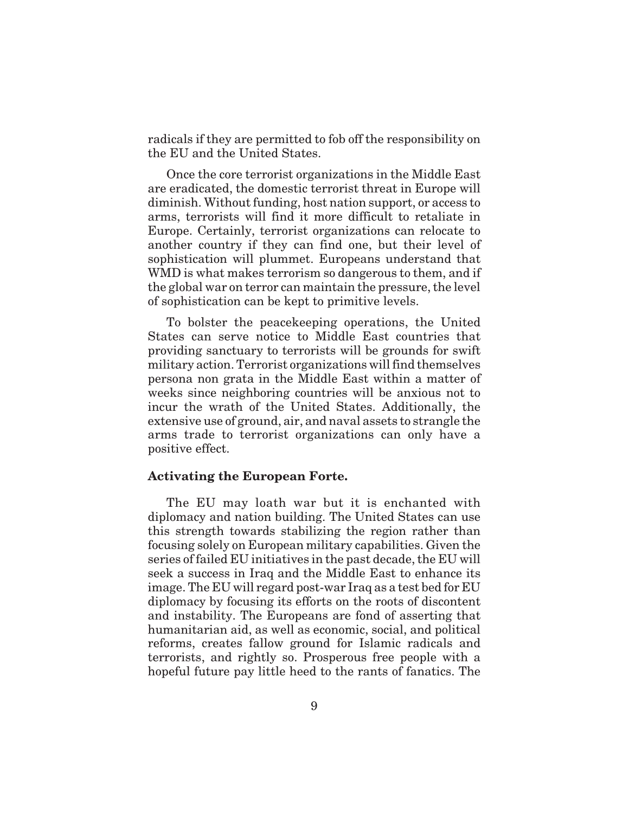radicals if they are permitted to fob off the responsibility on the EU and the United States.

Once the core terrorist organizations in the Middle East are eradicated, the domestic terrorist threat in Europe will diminish. Without funding, host nation support, or access to arms, terrorists will find it more difficult to retaliate in Europe. Certainly, terrorist organizations can relocate to another country if they can find one, but their level of sophistication will plummet. Europeans understand that WMD is what makes terrorism so dangerous to them, and if the global war on terror can maintain the pressure, the level of sophistication can be kept to primitive levels.

To bolster the peacekeeping operations, the United States can serve notice to Middle East countries that providing sanctuary to terrorists will be grounds for swift military action. Terrorist organizations will find themselves persona non grata in the Middle East within a matter of weeks since neighboring countries will be anxious not to incur the wrath of the United States. Additionally, the extensive use of ground, air, and naval assets to strangle the arms trade to terrorist organizations can only have a positive effect.

#### **Activating the European Forte.**

The EU may loath war but it is enchanted with diplomacy and nation building. The United States can use this strength towards stabilizing the region rather than focusing solely on European military capabilities. Given the series of failed EU initiatives in the past decade, the EU will seek a success in Iraq and the Middle East to enhance its image. The EU will regard post-war Iraq as a test bed for EU diplomacy by focusing its efforts on the roots of discontent and instability. The Europeans are fond of asserting that humanitarian aid, as well as economic, social, and political reforms, creates fallow ground for Islamic radicals and terrorists, and rightly so. Prosperous free people with a hopeful future pay little heed to the rants of fanatics. The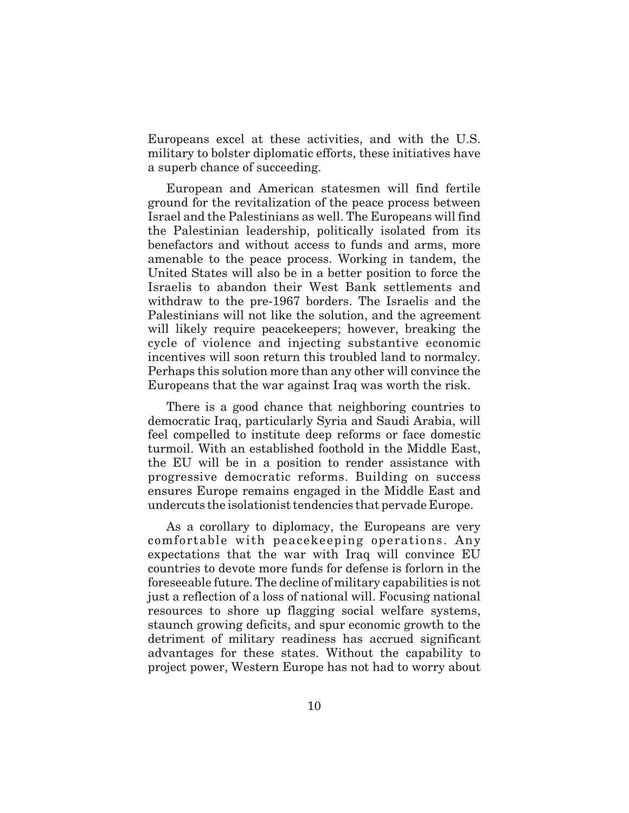Europeans excel at these activities, and with the U.S. military to bolster diplomatic efforts, these initiatives have a superb chance of succeeding.

European and American statesmen will find fertile ground for the revitalization of the peace process between Israel and the Palestinians as well. The Europeans will find the Palestinian leadership, politically isolated from its benefactors and without access to funds and arms, more amenable to the peace process. Working in tandem, the United States will also be in a better position to force the Israelis to abandon their West Bank settlements and withdraw to the pre-1967 borders. The Israelis and the Palestinians will not like the solution, and the agreement will likely require peacekeepers; however, breaking the cycle of violence and injecting substantive economic incentives will soon return this troubled land to normalcy. Perhaps this solution more than any other will convince the Europeans that the war against Iraq was worth the risk.

There is a good chance that neighboring countries to democratic Iraq, particularly Syria and Saudi Arabia, will feel compelled to institute deep reforms or face domestic turmoil. With an established foothold in the Middle East, the EU will be in a position to render assistance with progressive democratic reforms. Building on success ensures Europe remains engaged in the Middle East and undercuts the isolationist tendencies that pervade Europe.

As a corollary to diplomacy, the Europeans are very comfortable with peacekeeping operations. Any expectations that the war with Iraq will convince EU countries to devote more funds for defense is forlorn in the foreseeable future. The decline of military capabilities is not just a reflection of a loss of national will. Focusing national resources to shore up flagging social welfare systems, staunch growing deficits, and spur economic growth to the detriment of military readiness has accrued significant advantages for these states. Without the capability to project power, Western Europe has not had to worry about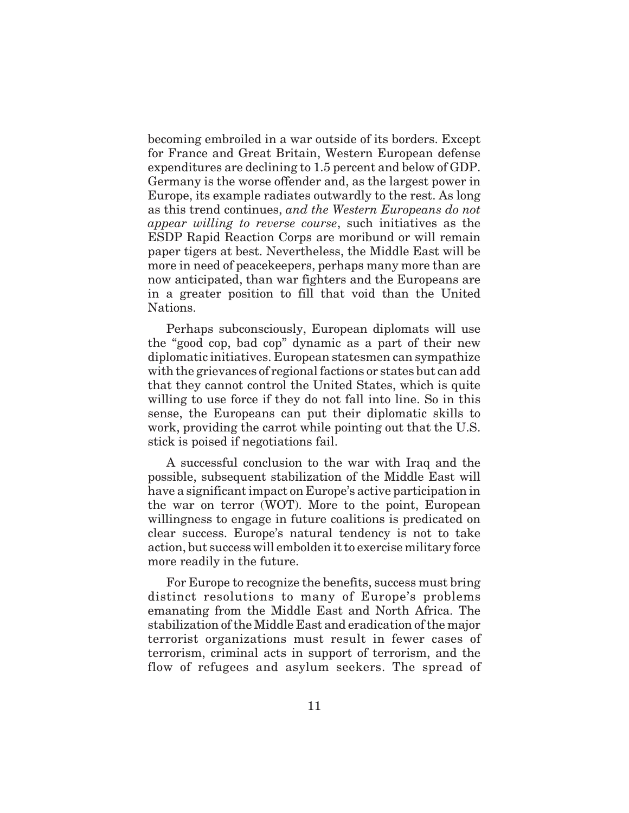becoming embroiled in a war outside of its borders. Except for France and Great Britain, Western European defense expenditures are declining to 1.5 percent and below of GDP. Germany is the worse offender and, as the largest power in Europe, its example radiates outwardly to the rest. As long as this trend continues, *and the Western Europeans do not appear willing to reverse course*, such initiatives as the ESDP Rapid Reaction Corps are moribund or will remain paper tigers at best. Nevertheless, the Middle East will be more in need of peacekeepers, perhaps many more than are now anticipated, than war fighters and the Europeans are in a greater position to fill that void than the United Nations.

Perhaps subconsciously, European diplomats will use the "good cop, bad cop" dynamic as a part of their new diplomatic initiatives. European statesmen can sympathize with the grievances of regional factions or states but can add that they cannot control the United States, which is quite willing to use force if they do not fall into line. So in this sense, the Europeans can put their diplomatic skills to work, providing the carrot while pointing out that the U.S. stick is poised if negotiations fail.

A successful conclusion to the war with Iraq and the possible, subsequent stabilization of the Middle East will have a significant impact on Europe's active participation in the war on terror (WOT). More to the point, European willingness to engage in future coalitions is predicated on clear success. Europe's natural tendency is not to take action, but success will embolden it to exercise military force more readily in the future.

For Europe to recognize the benefits, success must bring distinct resolutions to many of Europe's problems emanating from the Middle East and North Africa. The stabilization of the Middle East and eradication of the major terrorist organizations must result in fewer cases of terrorism, criminal acts in support of terrorism, and the flow of refugees and asylum seekers. The spread of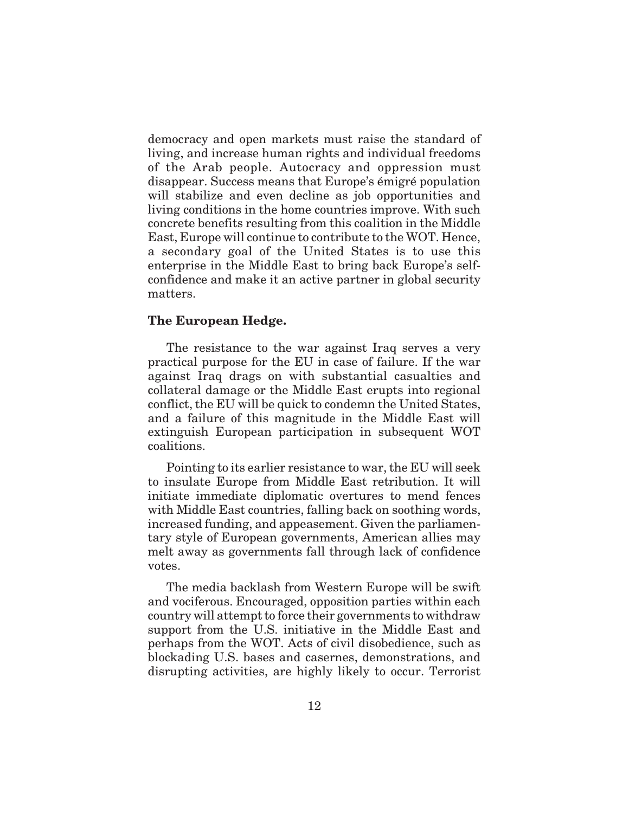democracy and open markets must raise the standard of living, and increase human rights and individual freedoms of the Arab people. Autocracy and oppression must disappear. Success means that Europe's émigré population will stabilize and even decline as job opportunities and living conditions in the home countries improve. With such concrete benefits resulting from this coalition in the Middle East, Europe will continue to contribute to the WOT. Hence, a secondary goal of the United States is to use this enterprise in the Middle East to bring back Europe's selfconfidence and make it an active partner in global security matters.

### **The European Hedge.**

The resistance to the war against Iraq serves a very practical purpose for the EU in case of failure. If the war against Iraq drags on with substantial casualties and collateral damage or the Middle East erupts into regional conflict, the EU will be quick to condemn the United States, and a failure of this magnitude in the Middle East will extinguish European participation in subsequent WOT coalitions.

Pointing to its earlier resistance to war, the EU will seek to insulate Europe from Middle East retribution. It will initiate immediate diplomatic overtures to mend fences with Middle East countries, falling back on soothing words, increased funding, and appeasement. Given the parliamentary style of European governments, American allies may melt away as governments fall through lack of confidence votes.

The media backlash from Western Europe will be swift and vociferous. Encouraged, opposition parties within each country will attempt to force their governments to withdraw support from the U.S. initiative in the Middle East and perhaps from the WOT. Acts of civil disobedience, such as blockading U.S. bases and casernes, demonstrations, and disrupting activities, are highly likely to occur. Terrorist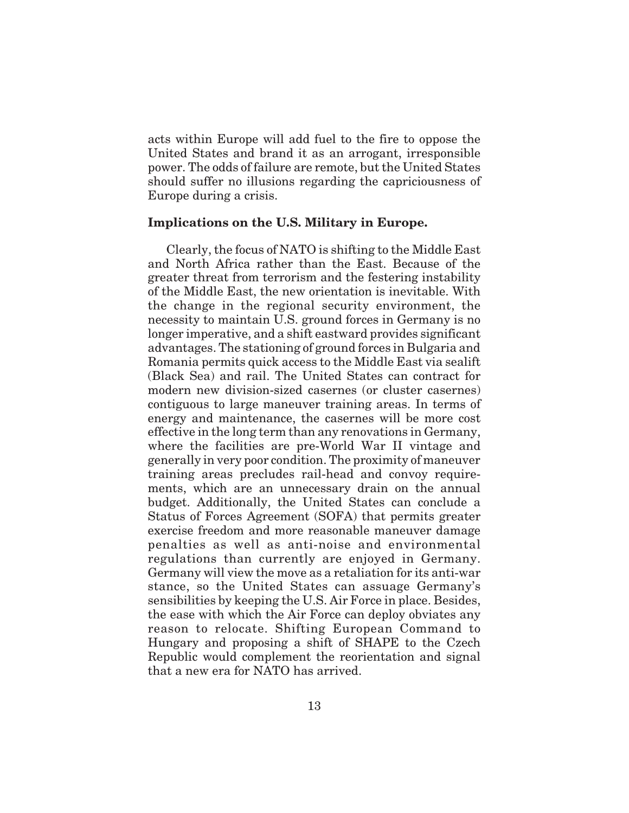acts within Europe will add fuel to the fire to oppose the United States and brand it as an arrogant, irresponsible power. The odds of failure are remote, but the United States should suffer no illusions regarding the capriciousness of Europe during a crisis.

### **Implications on the U.S. Military in Europe.**

Clearly, the focus of NATO is shifting to the Middle East and North Africa rather than the East. Because of the greater threat from terrorism and the festering instability of the Middle East, the new orientation is inevitable. With the change in the regional security environment, the necessity to maintain U.S. ground forces in Germany is no longer imperative, and a shift eastward provides significant advantages. The stationing of ground forces in Bulgaria and Romania permits quick access to the Middle East via sealift (Black Sea) and rail. The United States can contract for modern new division-sized casernes (or cluster casernes) contiguous to large maneuver training areas. In terms of energy and maintenance, the casernes will be more cost effective in the long term than any renovations in Germany, where the facilities are pre-World War II vintage and generally in very poor condition. The proximity of maneuver training areas precludes rail-head and convoy requirements, which are an unnecessary drain on the annual budget. Additionally, the United States can conclude a Status of Forces Agreement (SOFA) that permits greater exercise freedom and more reasonable maneuver damage penalties as well as anti-noise and environmental regulations than currently are enjoyed in Germany. Germany will view the move as a retaliation for its anti-war stance, so the United States can assuage Germany's sensibilities by keeping the U.S. Air Force in place. Besides, the ease with which the Air Force can deploy obviates any reason to relocate. Shifting European Command to Hungary and proposing a shift of SHAPE to the Czech Republic would complement the reorientation and signal that a new era for NATO has arrived.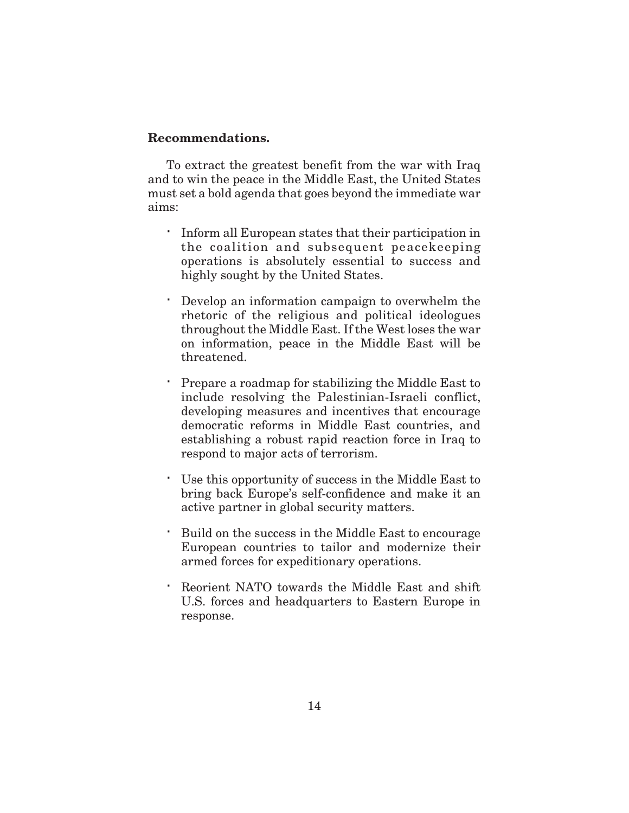#### **Recommendations.**

To extract the greatest benefit from the war with Iraq and to win the peace in the Middle East, the United States must set a bold agenda that goes beyond the immediate war aims:

> Inform all European states that their participation in the coalition and subsequent peacekeeping operations is absolutely essential to success and highly sought by the United States.

> Develop an information campaign to overwhelm the rhetoric of the religious and political ideologues throughout the Middle East. If the West loses the war on information, peace in the Middle East will be threatened.

> Prepare a roadmap for stabilizing the Middle East to include resolving the Palestinian-Israeli conflict, developing measures and incentives that encourage democratic reforms in Middle East countries, and establishing a robust rapid reaction force in Iraq to respond to major acts of terrorism.

> Use this opportunity of success in the Middle East to bring back Europe's self-confidence and make it an active partner in global security matters.

> Build on the success in the Middle East to encourage European countries to tailor and modernize their armed forces for expeditionary operations.

> Reorient NATO towards the Middle East and shift U.S. forces and headquarters to Eastern Europe in response.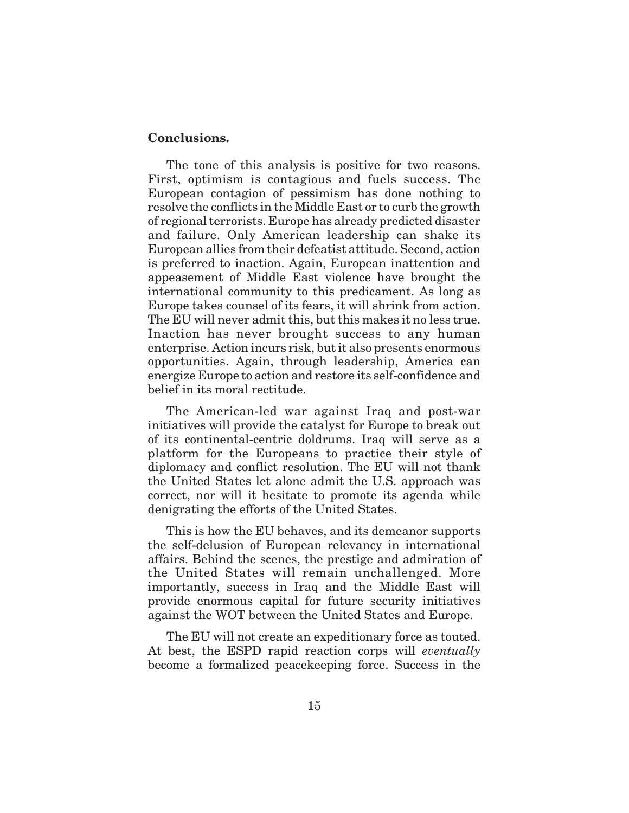#### **Conclusions.**

The tone of this analysis is positive for two reasons. First, optimism is contagious and fuels success. The European contagion of pessimism has done nothing to resolve the conflicts in the Middle East or to curb the growth of regional terrorists. Europe has already predicted disaster and failure. Only American leadership can shake its European allies from their defeatist attitude. Second, action is preferred to inaction. Again, European inattention and appeasement of Middle East violence have brought the international community to this predicament. As long as Europe takes counsel of its fears, it will shrink from action. The EU will never admit this, but this makes it no less true. Inaction has never brought success to any human enterprise. Action incurs risk, but it also presents enormous opportunities. Again, through leadership, America can energize Europe to action and restore its self-confidence and belief in its moral rectitude.

The American-led war against Iraq and post-war initiatives will provide the catalyst for Europe to break out of its continental-centric doldrums. Iraq will serve as a platform for the Europeans to practice their style of diplomacy and conflict resolution. The EU will not thank the United States let alone admit the U.S. approach was correct, nor will it hesitate to promote its agenda while denigrating the efforts of the United States.

This is how the EU behaves, and its demeanor supports the self-delusion of European relevancy in international affairs. Behind the scenes, the prestige and admiration of the United States will remain unchallenged. More importantly, success in Iraq and the Middle East will provide enormous capital for future security initiatives against the WOT between the United States and Europe.

The EU will not create an expeditionary force as touted. At best, the ESPD rapid reaction corps will *eventually* become a formalized peacekeeping force. Success in the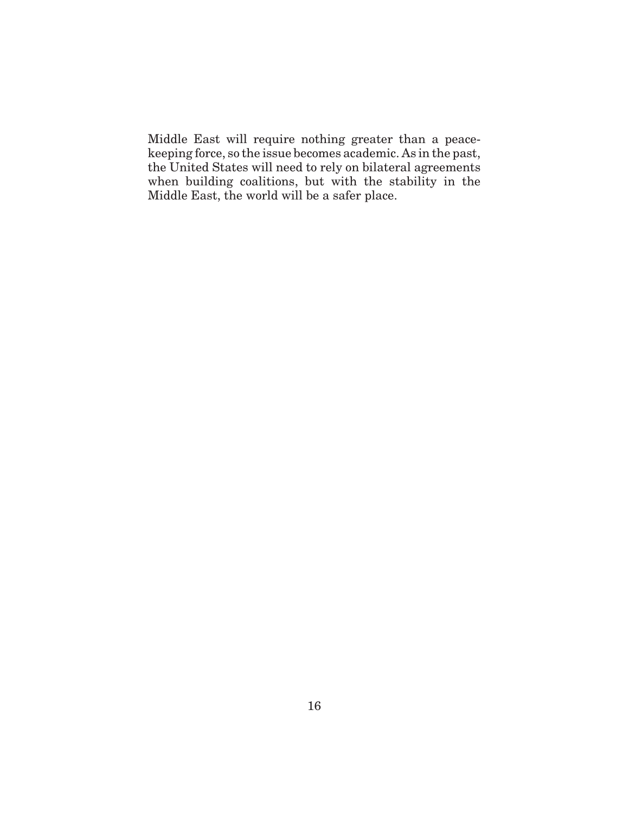Middle East will require nothing greater than a peacekeeping force, so the issue becomes academic. As in the past, the United States will need to rely on bilateral agreements when building coalitions, but with the stability in the Middle East, the world will be a safer place.